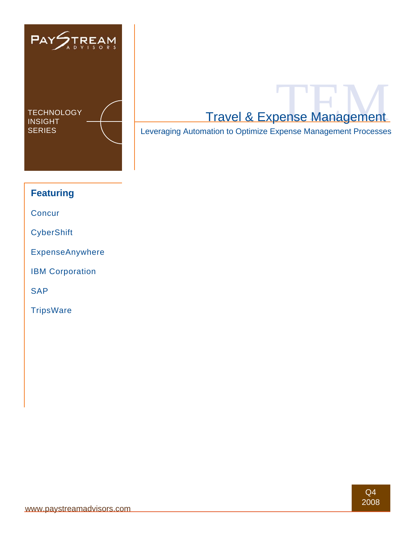

SERIES **Leveraging Automation to Optimize Expense Management Processes** 

# **Featuring**

**Concur** 

**CyberShift** 

ExpenseAnywhere

IBM Corporation

SAP

**TripsWare**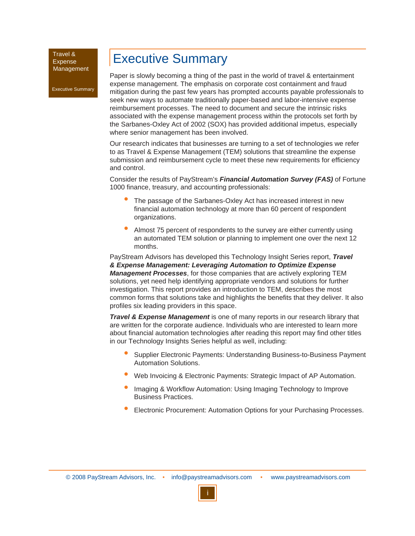Executive Summary

# Executive Summary

Paper is slowly becoming a thing of the past in the world of travel & entertainment expense management. The emphasis on corporate cost containment and fraud mitigation during the past few years has prompted accounts payable professionals to seek new ways to automate traditionally paper-based and labor-intensive expense reimbursement processes. The need to document and secure the intrinsic risks associated with the expense management process within the protocols set forth by the Sarbanes-Oxley Act of 2002 (SOX) has provided additional impetus, especially where senior management has been involved.

Our research indicates that businesses are turning to a set of technologies we refer to as Travel & Expense Management (TEM) solutions that streamline the expense submission and reimbursement cycle to meet these new requirements for efficiency and control.

Consider the results of PayStream's *Financial Automation Survey (FAS)* of Fortune 1000 finance, treasury, and accounting professionals:

- The passage of the Sarbanes-Oxley Act has increased interest in new financial automation technology at more than 60 percent of respondent organizations. •
- Almost 75 percent of respondents to the survey are either currently using an automated TEM solution or planning to implement one over the next 12 months. •

PayStream Advisors has developed this Technology Insight Series report, *Travel & Expense Management: Leveraging Automation to Optimize Expense Management Processes*, for those companies that are actively exploring TEM solutions, yet need help identifying appropriate vendors and solutions for further investigation. This report provides an introduction to TEM, describes the most common forms that solutions take and highlights the benefits that they deliver. It also profiles six leading providers in this space.

*Travel & Expense Management* is one of many reports in our research library that are written for the corporate audience. Individuals who are interested to learn more about financial automation technologies after reading this report may find other titles in our Technology Insights Series helpful as well, including:

- Supplier Electronic Payments: Understanding Business-to-Business Payment Automation Solutions. •
- Web Invoicing & Electronic Payments: Strategic Impact of AP Automation. •
- Imaging & Workflow Automation: Using Imaging Technology to Improve Business Practices. •
- Electronic Procurement: Automation Options for your Purchasing Processes. •

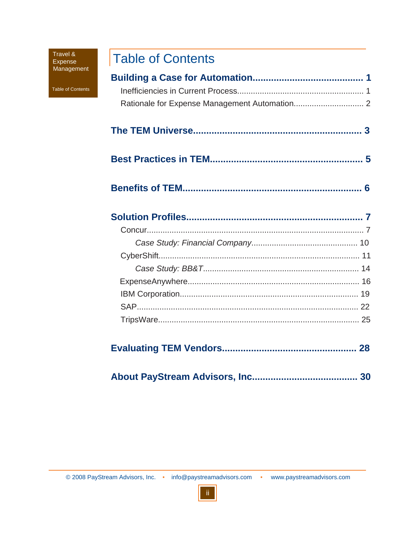Table of Contents

# **Table of Contents**

|--|--|--|

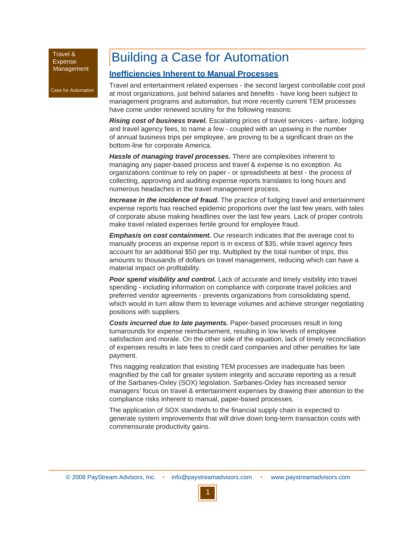Case for Automation

# Building a Case for Automation

### **Inefficiencies Inherent to Manual Processes**

Travel and entertainment related expenses - the second largest controllable cost pool at most organizations, just behind salaries and benefits - have long been subject to management programs and automation, but more recently current TEM processes have come under renewed scrutiny for the following reasons:

*Rising cost of business travel.* Escalating prices of travel services - airfare, lodging and travel agency fees, to name a few - coupled with an upswing in the number of annual business trips per employee, are proving to be a significant drain on the bottom-line for corporate America.

*Hassle of managing travel processes.* There are complexities inherent to managing any paper-based process and travel & expense is no exception. As organizations continue to rely on paper - or spreadsheets at best - the process of collecting, approving and auditing expense reports translates to long hours and numerous headaches in the travel management process.

**Increase in the incidence of fraud.** The practice of fudging travel and entertainment expense reports has reached epidemic proportions over the last few years, with tales of corporate abuse making headlines over the last few years. Lack of proper controls make travel related expenses fertile ground for employee fraud.

*Emphasis on cost containment.* Our research indicates that the average cost to manually process an expense report is in excess of \$35, while travel agency fees account for an additional \$50 per trip. Multiplied by the total number of trips, this amounts to thousands of dollars on travel management, reducing which can have a material impact on profitability.

**Poor spend visibility and control.** Lack of accurate and timely visibility into travel spending - including information on compliance with corporate travel policies and preferred vendor agreements - prevents organizations from consolidating spend, which would in turn allow them to leverage volumes and achieve stronger negotiating positions with suppliers.

*Costs incurred due to late payments.* Paper-based processes result in long turnarounds for expense reimbursement, resulting in low levels of employee satisfaction and morale. On the other side of the equation, lack of timely reconciliation of expenses results in late fees to credit card companies and other penalties for late payment.

This nagging realization that existing TEM processes are inadequate has been magnified by the call for greater system integrity and accurate reporting as a result of the Sarbanes-Oxley (SOX) legislation. Sarbanes-Oxley has increased senior managers' focus on travel & entertainment expenses by drawing their attention to the compliance risks inherent to manual, paper-based processes.

The application of SOX standards to the financial supply chain is expected to generate system improvements that will drive down long-term transaction costs with commensurate productivity gains.

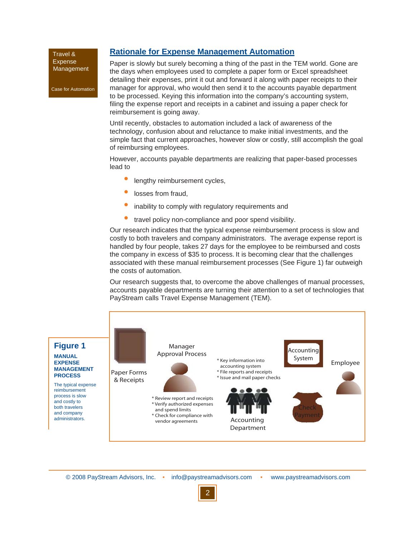Case for Automation

### **Rationale for Expense Management Automation**

Paper is slowly but surely becoming a thing of the past in the TEM world. Gone are the days when employees used to complete a paper form or Excel spreadsheet detailing their expenses, print it out and forward it along with paper receipts to their manager for approval, who would then send it to the accounts payable department to be processed. Keying this information into the company's accounting system, filing the expense report and receipts in a cabinet and issuing a paper check for reimbursement is going away.

Until recently, obstacles to automation included a lack of awareness of the technology, confusion about and reluctance to make initial investments, and the simple fact that current approaches, however slow or costly, still accomplish the goal of reimbursing employees.

However, accounts payable departments are realizing that paper-based processes lead to

- lengthy reimbursement cycles, •
- losses from fraud, •
- inability to comply with regulatory requirements and •
- travel policy non-compliance and poor spend visibility. •

Our research indicates that the typical expense reimbursement process is slow and costly to both travelers and company administrators. The average expense report is handled by four people, takes 27 days for the employee to be reimbursed and costs the company in excess of \$35 to process. It is becoming clear that the challenges associated with these manual reimbursement processes (See Figure 1) far outweigh the costs of automation.

Our research suggests that, to overcome the above challenges of manual processes, accounts payable departments are turning their attention to a set of technologies that PayStream calls Travel Expense Management (TEM).

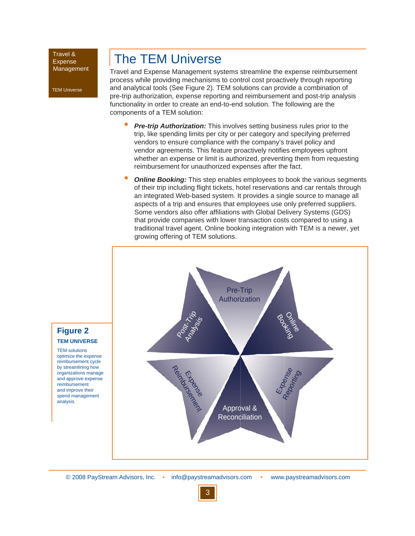TEM Universe

# The TEM Universe

Travel and Expense Management systems streamline the expense reimbursement process while providing mechanisms to control cost proactively through reporting and analytical tools (See Figure 2). TEM solutions can provide a combination of pre-trip authorization, expense reporting and reimbursement and post-trip analysis functionality in order to create an end-to-end solution. The following are the components of a TEM solution:

- **Pre-trip Authorization:** This involves setting business rules prior to the trip, like spending limits per city or per category and specifying preferred vendors to ensure compliance with the company's travel policy and vendor agreements. This feature proactively notifies employees upfront whether an expense or limit is authorized, preventing them from requesting reimbursement for unauthorized expenses after the fact. •
- **Online Booking:** This step enables employees to book the various segments of their trip including flight tickets, hotel reservations and car rentals through an integrated Web-based system. It provides a single source to manage all aspects of a trip and ensures that employees use only preferred suppliers. Some vendors also offer affiliations with Global Delivery Systems (GDS) that provide companies with lower transaction costs compared to using a traditional travel agent. Online booking integration with TEM is a newer, yet growing offering of TEM solutions. •



# **Figure 2 TEM UNIVERSE**

TEM solutions optimize the expense reimbursement cycle by streamlining how organizations manage and approve expense reimbursement and improve their spend management analysis.

© 2008 PayStream Advisors, Inc. • info@paystreamadvisors.com • www.paystreamadvisors.com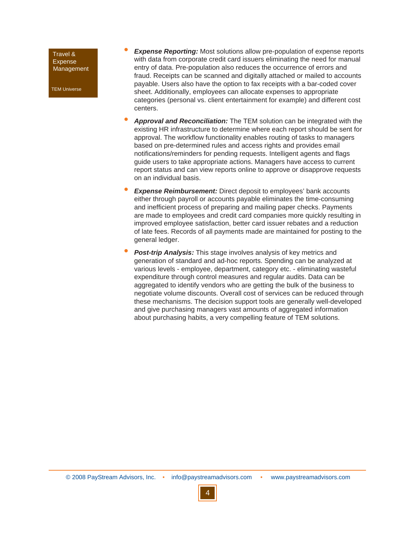TEM Universe

- **Expense Reporting:** Most solutions allow pre-population of expense reports with data from corporate credit card issuers eliminating the need for manual entry of data. Pre-population also reduces the occurrence of errors and fraud. Receipts can be scanned and digitally attached or mailed to accounts payable. Users also have the option to fax receipts with a bar-coded cover sheet. Additionally, employees can allocate expenses to appropriate categories (personal vs. client entertainment for example) and different cost centers. •
- *Approval and Reconciliation:* The TEM solution can be integrated with the existing HR infrastructure to determine where each report should be sent for approval. The workflow functionality enables routing of tasks to managers based on pre-determined rules and access rights and provides email notifications/reminders for pending requests. Intelligent agents and flags guide users to take appropriate actions. Managers have access to current report status and can view reports online to approve or disapprove requests on an individual basis. •
- **Expense Reimbursement:** Direct deposit to employees' bank accounts either through payroll or accounts payable eliminates the time-consuming and inefficient process of preparing and mailing paper checks. Payments are made to employees and credit card companies more quickly resulting in improved employee satisfaction, better card issuer rebates and a reduction of late fees. Records of all payments made are maintained for posting to the general ledger. •
- *Post-trip Analysis:* This stage involves analysis of key metrics and generation of standard and ad-hoc reports. Spending can be analyzed at various levels - employee, department, category etc. - eliminating wasteful expenditure through control measures and regular audits. Data can be aggregated to identify vendors who are getting the bulk of the business to negotiate volume discounts. Overall cost of services can be reduced through these mechanisms. The decision support tools are generally well-developed and give purchasing managers vast amounts of aggregated information about purchasing habits, a very compelling feature of TEM solutions. •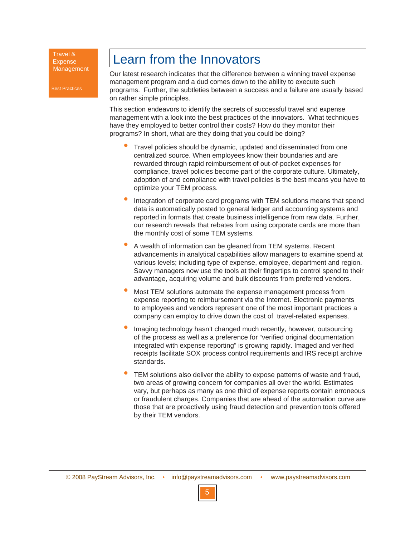Best Practices

# Learn from the Innovators

Our latest research indicates that the difference between a winning travel expense management program and a dud comes down to the ability to execute such programs. Further, the subtleties between a success and a failure are usually based on rather simple principles.

This section endeavors to identify the secrets of successful travel and expense management with a look into the best practices of the innovators. What techniques have they employed to better control their costs? How do they monitor their programs? In short, what are they doing that you could be doing?

- Travel policies should be dynamic, updated and disseminated from one centralized source. When employees know their boundaries and are rewarded through rapid reimbursement of out-of-pocket expenses for compliance, travel policies become part of the corporate culture. Ultimately, adoption of and compliance with travel policies is the best means you have to optimize your TEM process. •
- Integration of corporate card programs with TEM solutions means that spend data is automatically posted to general ledger and accounting systems and reported in formats that create business intelligence from raw data. Further, our research reveals that rebates from using corporate cards are more than the monthly cost of some TEM systems. •
- A wealth of information can be gleaned from TEM systems. Recent advancements in analytical capabilities allow managers to examine spend at various levels; including type of expense, employee, department and region. Savvy managers now use the tools at their fingertips to control spend to their advantage, acquiring volume and bulk discounts from preferred vendors. •
- Most TEM solutions automate the expense management process from expense reporting to reimbursement via the Internet. Electronic payments to employees and vendors represent one of the most important practices a company can employ to drive down the cost of travel-related expenses. •
- Imaging technology hasn't changed much recently, however, outsourcing of the process as well as a preference for "verified original documentation integrated with expense reporting" is growing rapidly. Imaged and verified receipts facilitate SOX process control requirements and IRS receipt archive standards. •
- TEM solutions also deliver the ability to expose patterns of waste and fraud, two areas of growing concern for companies all over the world. Estimates vary, but perhaps as many as one third of expense reports contain erroneous or fraudulent charges. Companies that are ahead of the automation curve are those that are proactively using fraud detection and prevention tools offered by their TEM vendors. •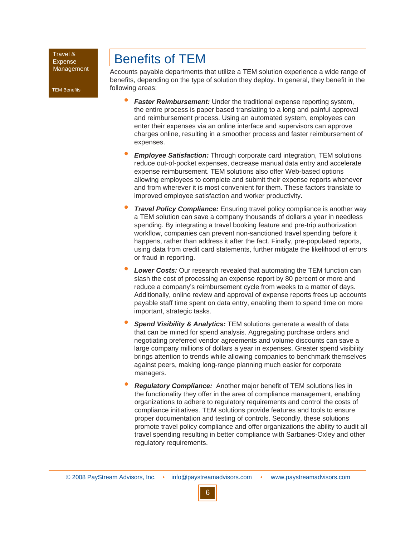TEM Benefits

# Benefits of TEM

Accounts payable departments that utilize a TEM solution experience a wide range of benefits, depending on the type of solution they deploy. In general, they benefit in the following areas:

- *Faster Reimbursement:* Under the traditional expense reporting system, the entire process is paper based translating to a long and painful approval and reimbursement process. Using an automated system, employees can enter their expenses via an online interface and supervisors can approve charges online, resulting in a smoother process and faster reimbursement of expenses. •
- *Employee Satisfaction:* Through corporate card integration, TEM solutions reduce out-of-pocket expenses, decrease manual data entry and accelerate expense reimbursement. TEM solutions also offer Web-based options allowing employees to complete and submit their expense reports whenever and from wherever it is most convenient for them. These factors translate to improved employee satisfaction and worker productivity. •
- *Travel Policy Compliance:* Ensuring travel policy compliance is another way a TEM solution can save a company thousands of dollars a year in needless spending. By integrating a travel booking feature and pre-trip authorization workflow, companies can prevent non-sanctioned travel spending before it happens, rather than address it after the fact. Finally, pre-populated reports, using data from credit card statements, further mitigate the likelihood of errors or fraud in reporting. •
- *Lower Costs:* Our research revealed that automating the TEM function can slash the cost of processing an expense report by 80 percent or more and reduce a company's reimbursement cycle from weeks to a matter of days. Additionally, online review and approval of expense reports frees up accounts payable staff time spent on data entry, enabling them to spend time on more important, strategic tasks. •
- *Spend Visibility & Analytics:* TEM solutions generate a wealth of data that can be mined for spend analysis. Aggregating purchase orders and negotiating preferred vendor agreements and volume discounts can save a large company millions of dollars a year in expenses. Greater spend visibility brings attention to trends while allowing companies to benchmark themselves against peers, making long-range planning much easier for corporate managers. •
- *Regulatory Compliance:* Another major benefit of TEM solutions lies in the functionality they offer in the area of compliance management, enabling organizations to adhere to regulatory requirements and control the costs of compliance initiatives. TEM solutions provide features and tools to ensure proper documentation and testing of controls. Secondly, these solutions promote travel policy compliance and offer organizations the ability to audit all travel spending resulting in better compliance with Sarbanes-Oxley and other regulatory requirements. •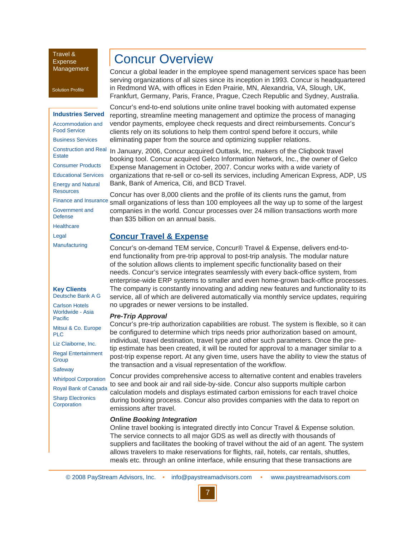Solution Profile

#### **Industries Served**

Accommodation and Food Service Business Services Construction and Real **Estate** Consumer Products Educational Services Energy and Natural **Resources** 

Government and Defense **Healthcare** 

Legal **Manufacturing** 

#### **Key Clients** Deutsche Bank A G

Carlson Hotels Worldwide - Asia **Pacific** 

Mitsui & Co. Europe PLC

Liz Claiborne, Inc. Regal Entertainment **Group** 

**Safeway** 

Whirlpool Corporation Royal Bank of Canada

Sharp Electronics **Corporation** 

# Concur Overview

Concur a global leader in the employee spend management services space has been serving organizations of all sizes since its inception in 1993. Concur is headquartered in Redmond WA, with offices in Eden Prairie, MN, Alexandria, VA, Slough, UK, Frankfurt, Germany, Paris, France, Prague, Czech Republic and Sydney, Australia.

Concur's end-to-end solutions unite online travel booking with automated expense reporting, streamline meeting management and optimize the process of managing vendor payments, employee check requests and direct reimbursements. Concur's clients rely on its solutions to help them control spend before it occurs, while eliminating paper from the source and optimizing supplier relations.

In January, 2006, Concur acquired Outtask, Inc, makers of the Cliqbook travel booking tool. Concur acquired Gelco Information Network, Inc., the owner of Gelco Expense Management in October, 2007. Concur works with a wide variety of organizations that re-sell or co-sell its services, including American Express, ADP, US Bank, Bank of America, Citi, and BCD Travel.

Concur has over 8,000 clients and the profile of its clients runs the gamut, from Finance and Insurance small organizations of less than 100 employees all the way up to some of the largest companies in the world. Concur processes over 24 million transactions worth more than \$35 billion on an annual basis.

### **Concur Travel & Expense**

Concur's on-demand TEM service, Concur® Travel & Expense, delivers end-toend functionality from pre-trip approval to post-trip analysis. The modular nature of the solution allows clients to implement specific functionality based on their needs. Concur's service integrates seamlessly with every back-office system, from enterprise-wide ERP systems to smaller and even home-grown back-office processes. The company is constantly innovating and adding new features and functionality to its service, all of which are delivered automatically via monthly service updates, requiring no upgrades or newer versions to be installed.

#### *Pre-Trip Approval*

Concur's pre-trip authorization capabilities are robust. The system is flexible, so it can be configured to determine which trips needs prior authorization based on amount, individual, travel destination, travel type and other such parameters. Once the pretip estimate has been created, it will be routed for approval to a manager similar to a post-trip expense report. At any given time, users have the ability to view the status of the transaction and a visual representation of the workflow.

Concur provides comprehensive access to alternative content and enables travelers to see and book air and rail side-by-side. Concur also supports multiple carbon calculation models and displays estimated carbon emissions for each travel choice during booking process. Concur also provides companies with the data to report on emissions after travel.

#### *Online Booking Integration*

Online travel booking is integrated directly into Concur Travel & Expense solution. The service connects to all major GDS as well as directly with thousands of suppliers and facilitates the booking of travel without the aid of an agent. The system allows travelers to make reservations for flights, rail, hotels, car rentals, shuttles, meals etc. through an online interface, while ensuring that these transactions are

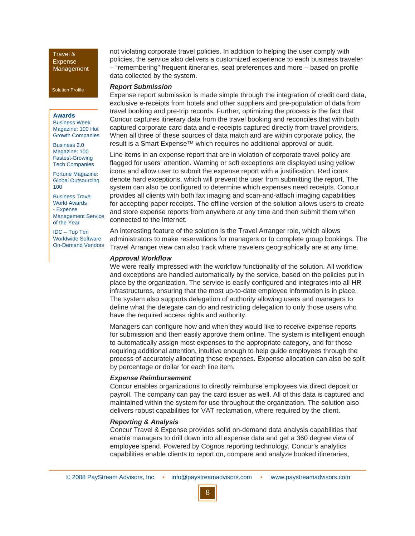Solution Profile

#### **Awards**

Business Week Magazine: 100 Hot Growth Companies

Business 2.0 Magazine: 100 Fastest-Growing Tech Companies

Fortune Magazine: Global Outsourcing 100

Business Travel World Awards - Expense Management Service of the Year

IDC – Top Ten Worldwide Software On-Demand Vendors not violating corporate travel policies. In addition to helping the user comply with policies, the service also delivers a customized experience to each business traveler – "remembering" frequent itineraries, seat preferences and more – based on profile data collected by the system.

#### *Report Submission*

Expense report submission is made simple through the integration of credit card data, exclusive e-receipts from hotels and other suppliers and pre-population of data from travel booking and pre-trip records. Further, optimizing the process is the fact that Concur captures itinerary data from the travel booking and reconciles that with both captured corporate card data and e-receipts captured directly from travel providers. When all three of these sources of data match and are within corporate policy, the result is a Smart Expense™ which requires no additional approval or audit.

Line items in an expense report that are in violation of corporate travel policy are flagged for users' attention. Warning or soft exceptions are displayed using yellow icons and allow user to submit the expense report with a justification. Red icons denote hard exceptions, which will prevent the user from submitting the report. The system can also be configured to determine which expenses need receipts. Concur provides all clients with both fax imaging and scan-and-attach imaging capabilities for accepting paper receipts. The offline version of the solution allows users to create and store expense reports from anywhere at any time and then submit them when connected to the Internet.

An interesting feature of the solution is the Travel Arranger role, which allows administrators to make reservations for managers or to complete group bookings. The Travel Arranger view can also track where travelers geographically are at any time.

#### *Approval Workflow*

We were really impressed with the workflow functionality of the solution. All workflow and exceptions are handled automatically by the service, based on the policies put in place by the organization. The service is easily configured and integrates into all HR infrastructures, ensuring that the most up-to-date employee information is in place. The system also supports delegation of authority allowing users and managers to define what the delegate can do and restricting delegation to only those users who have the required access rights and authority.

Managers can configure how and when they would like to receive expense reports for submission and then easily approve them online. The system is intelligent enough to automatically assign most expenses to the appropriate category, and for those requiring additional attention, intuitive enough to help guide employees through the process of accurately allocating those expenses. Expense allocation can also be split by percentage or dollar for each line item.

#### *Expense Reimbursement*

Concur enables organizations to directly reimburse employees via direct deposit or payroll. The company can pay the card issuer as well. All of this data is captured and maintained within the system for use throughout the organization. The solution also delivers robust capabilities for VAT reclamation, where required by the client.

#### *Reporting & Analysis*

Concur Travel & Expense provides solid on-demand data analysis capabilities that enable managers to drill down into all expense data and get a 360 degree view of employee spend. Powered by Cognos reporting technology, Concur's analytics capabilities enable clients to report on, compare and analyze booked itineraries,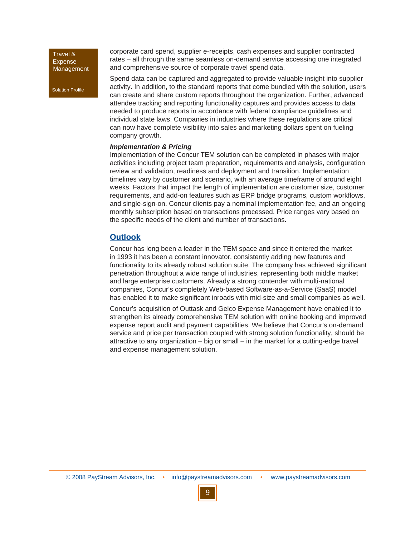Solution Profile

corporate card spend, supplier e-receipts, cash expenses and supplier contracted rates – all through the same seamless on-demand service accessing one integrated and comprehensive source of corporate travel spend data.

Spend data can be captured and aggregated to provide valuable insight into supplier activity. In addition, to the standard reports that come bundled with the solution, users can create and share custom reports throughout the organization. Further, advanced attendee tracking and reporting functionality captures and provides access to data needed to produce reports in accordance with federal compliance guidelines and individual state laws. Companies in industries where these regulations are critical can now have complete visibility into sales and marketing dollars spent on fueling company growth.

#### *Implementation & Pricing*

Implementation of the Concur TEM solution can be completed in phases with major activities including project team preparation, requirements and analysis, configuration review and validation, readiness and deployment and transition. Implementation timelines vary by customer and scenario, with an average timeframe of around eight weeks. Factors that impact the length of implementation are customer size, customer requirements, and add-on features such as ERP bridge programs, custom workflows, and single-sign-on. Concur clients pay a nominal implementation fee, and an ongoing monthly subscription based on transactions processed. Price ranges vary based on the specific needs of the client and number of transactions.

### **Outlook**

Concur has long been a leader in the TEM space and since it entered the market in 1993 it has been a constant innovator, consistently adding new features and functionality to its already robust solution suite. The company has achieved significant penetration throughout a wide range of industries, representing both middle market and large enterprise customers. Already a strong contender with multi-national companies, Concur's completely Web-based Software-as-a-Service (SaaS) model has enabled it to make significant inroads with mid-size and small companies as well.

Concur's acquisition of Outtask and Gelco Expense Management have enabled it to strengthen its already comprehensive TEM solution with online booking and improved expense report audit and payment capabilities. We believe that Concur's on-demand service and price per transaction coupled with strong solution functionality, should be attractive to any organization – big or small – in the market for a cutting-edge travel and expense management solution.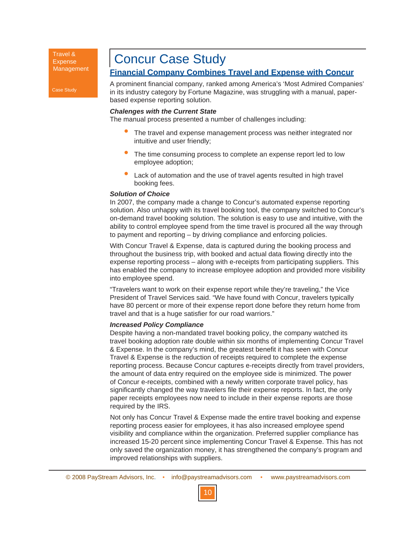Case Study

# Concur Case Study

# **Financial Company Combines Travel and Expense with Concur**

A prominent financial company, ranked among America's 'Most Admired Companies' in its industry category by Fortune Magazine, was struggling with a manual, paperbased expense reporting solution.

#### *Chalenges with the Current State*

The manual process presented a number of challenges including:

- The travel and expense management process was neither integrated nor intuitive and user friendly; •
- The time consuming process to complete an expense report led to low employee adoption; •
- Lack of automation and the use of travel agents resulted in high travel booking fees. •

#### *Solution of Choice*

In 2007, the company made a change to Concur's automated expense reporting solution. Also unhappy with its travel booking tool, the company switched to Concur's on-demand travel booking solution. The solution is easy to use and intuitive, with the ability to control employee spend from the time travel is procured all the way through to payment and reporting – by driving compliance and enforcing policies.

With Concur Travel & Expense, data is captured during the booking process and throughout the business trip, with booked and actual data flowing directly into the expense reporting process – along with e-receipts from participating suppliers. This has enabled the company to increase employee adoption and provided more visibility into employee spend.

"Travelers want to work on their expense report while they're traveling," the Vice President of Travel Services said. "We have found with Concur, travelers typically have 80 percent or more of their expense report done before they return home from travel and that is a huge satisfier for our road warriors."

#### *Increased Policy Compliance*

Despite having a non-mandated travel booking policy, the company watched its travel booking adoption rate double within six months of implementing Concur Travel & Expense. In the company's mind, the greatest benefit it has seen with Concur Travel & Expense is the reduction of receipts required to complete the expense reporting process. Because Concur captures e-receipts directly from travel providers, the amount of data entry required on the employee side is minimized. The power of Concur e-receipts, combined with a newly written corporate travel policy, has significantly changed the way travelers file their expense reports. In fact, the only paper receipts employees now need to include in their expense reports are those required by the IRS.

Not only has Concur Travel & Expense made the entire travel booking and expense reporting process easier for employees, it has also increased employee spend visibility and compliance within the organization. Preferred supplier compliance has increased 15-20 percent since implementing Concur Travel & Expense. This has not only saved the organization money, it has strengthened the company's program and improved relationships with suppliers.

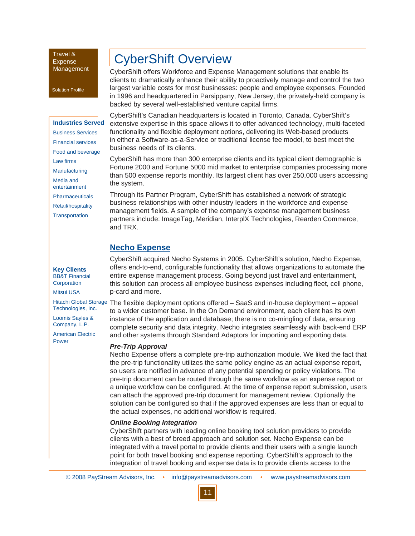#### Solution Profile

### **Industries Served** Business Services Financial services

Food and beverage Law firms

- Manufacturing
- Media and
- entertainment
- **Pharmaceuticals**
- Retail/hospitality

**Transportation** 

**Key Clients** BB&T Financial **Corporation** 

Mitsui USA

Hitachi Global Storage Technologies, Inc.

Loomis Sayles & Company, L.P.

American Electric Power

# CyberShift Overview

CyberShift offers Workforce and Expense Management solutions that enable its clients to dramatically enhance their ability to proactively manage and control the two largest variable costs for most businesses: people and employee expenses. Founded in 1996 and headquartered in Parsippany, New Jersey, the privately-held company is backed by several well-established venture capital firms.

CyberShift's Canadian headquarters is located in Toronto, Canada. CyberShift's extensive expertise in this space allows it to offer advanced technology, multi-faceted functionality and flexible deployment options, delivering its Web-based products in either a Software-as-a-Service or traditional license fee model, to best meet the business needs of its clients.

CyberShift has more than 300 enterprise clients and its typical client demographic is Fortune 2000 and Fortune 5000 mid market to enterprise companies processing more than 500 expense reports monthly. Its largest client has over 250,000 users accessing the system.

Through its Partner Program, CyberShift has established a network of strategic business relationships with other industry leaders in the workforce and expense management fields. A sample of the company's expense management business partners include: ImageTag, Meridian, InterplX Technologies, Rearden Commerce, and TRX.

### **Necho Expense**

CyberShift acquired Necho Systems in 2005. CyberShift's solution, Necho Expense, offers end-to-end, configurable functionality that allows organizations to automate the entire expense management process. Going beyond just travel and entertainment, this solution can process all employee business expenses including fleet, cell phone, p-card and more.

The flexible deployment options offered – SaaS and in-house deployment – appeal to a wider customer base. In the On Demand environment, each client has its own instance of the application and database; there is no co-mingling of data, ensuring complete security and data integrity. Necho integrates seamlessly with back-end ERP and other systems through Standard Adaptors for importing and exporting data.

#### *Pre-Trip Approval*

Necho Expense offers a complete pre-trip authorization module. We liked the fact that the pre-trip functionality utilizes the same policy engine as an actual expense report, so users are notified in advance of any potential spending or policy violations. The pre-trip document can be routed through the same workflow as an expense report or a unique workflow can be configured. At the time of expense report submission, users can attach the approved pre-trip document for management review. Optionally the solution can be configured so that if the approved expenses are less than or equal to the actual expenses, no additional workflow is required.

### *Online Booking Integration*

CyberShift partners with leading online booking tool solution providers to provide clients with a best of breed approach and solution set. Necho Expense can be integrated with a travel portal to provide clients and their users with a single launch point for both travel booking and expense reporting. CyberShift's approach to the integration of travel booking and expense data is to provide clients access to the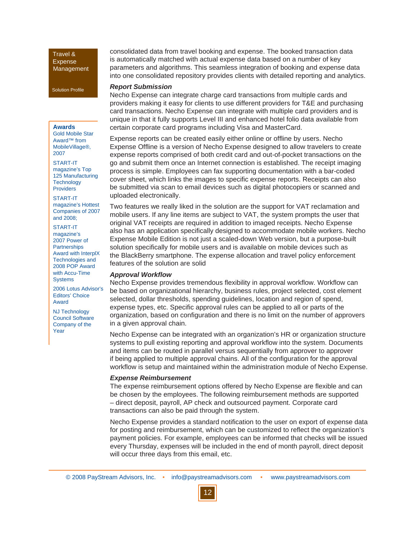Solution Profile

#### **Awards**

Gold Mobile Star Award™ from MobileVillage®, 2007

START-IT magazine's Top 125 Manufacturing **Technology** Providers

START-IT magazine's Hottest Companies of 2007 and 2008;

- START-IT
- magazine's 2007 Power of **Partnerships** Award with InterplX Technologies and 2008 POP Award with Accu-Time **Systems**

2006 Lotus Advisor's Editors' Choice Award

NJ Technology Council Software Company of the Year

consolidated data from travel booking and expense. The booked transaction data is automatically matched with actual expense data based on a number of key parameters and algorithms. This seamless integration of booking and expense data into one consolidated repository provides clients with detailed reporting and analytics.

#### *Report Submission*

Necho Expense can integrate charge card transactions from multiple cards and providers making it easy for clients to use different providers for T&E and purchasing card transactions. Necho Expense can integrate with multiple card providers and is unique in that it fully supports Level III and enhanced hotel folio data available from certain corporate card programs including Visa and MasterCard.

Expense reports can be created easily either online or offline by users. Necho Expense Offline is a version of Necho Expense designed to allow travelers to create expense reports comprised of both credit card and out-of-pocket transactions on the go and submit them once an Internet connection is established. The receipt imaging process is simple. Employees can fax supporting documentation with a bar-coded cover sheet, which links the images to specific expense reports. Receipts can also be submitted via scan to email devices such as digital photocopiers or scanned and uploaded electronically.

Two features we really liked in the solution are the support for VAT reclamation and mobile users. If any line items are subject to VAT, the system prompts the user that original VAT receipts are required in addition to imaged receipts. Necho Expense also has an application specifically designed to accommodate mobile workers. Necho Expense Mobile Edition is not just a scaled-down Web version, but a purpose-built solution specifically for mobile users and is available on mobile devices such as the BlackBerry smartphone. The expense allocation and travel policy enforcement features of the solution are solid

#### *Approval Workflow*

Necho Expense provides tremendous flexibility in approval workflow. Workflow can be based on organizational hierarchy, business rules, project selected, cost element selected, dollar thresholds, spending guidelines, location and region of spend, expense types, etc. Specific approval rules can be applied to all or parts of the organization, based on configuration and there is no limit on the number of approvers in a given approval chain.

Necho Expense can be integrated with an organization's HR or organization structure systems to pull existing reporting and approval workflow into the system. Documents and items can be routed in parallel versus sequentially from approver to approver if being applied to multiple approval chains. All of the configuration for the approval workflow is setup and maintained within the administration module of Necho Expense.

#### *Expense Reimbursement*

The expense reimbursement options offered by Necho Expense are flexible and can be chosen by the employees. The following reimbursement methods are supported – direct deposit, payroll, AP check and outsourced payment. Corporate card transactions can also be paid through the system.

Necho Expense provides a standard notification to the user on export of expense data for posting and reimbursement, which can be customized to reflect the organization's payment policies. For example, employees can be informed that checks will be issued every Thursday, expenses will be included in the end of month payroll, direct deposit will occur three days from this email, etc.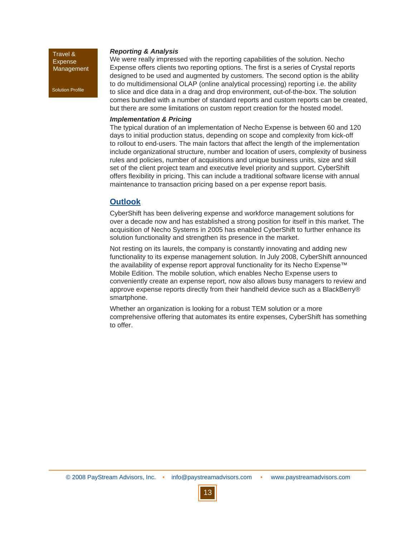Solution Profile

#### *Reporting & Analysis*

We were really impressed with the reporting capabilities of the solution. Necho Expense offers clients two reporting options. The first is a series of Crystal reports designed to be used and augmented by customers. The second option is the ability to do multidimensional OLAP (online analytical processing) reporting i.e. the ability to slice and dice data in a drag and drop environment, out-of-the-box. The solution comes bundled with a number of standard reports and custom reports can be created, but there are some limitations on custom report creation for the hosted model.

#### *Implementation & Pricing*

The typical duration of an implementation of Necho Expense is between 60 and 120 days to initial production status, depending on scope and complexity from kick-off to rollout to end-users. The main factors that affect the length of the implementation include organizational structure, number and location of users, complexity of business rules and policies, number of acquisitions and unique business units, size and skill set of the client project team and executive level priority and support. CyberShift offers flexibility in pricing. This can include a traditional software license with annual maintenance to transaction pricing based on a per expense report basis.

### **Outlook**

CyberShift has been delivering expense and workforce management solutions for over a decade now and has established a strong position for itself in this market. The acquisition of Necho Systems in 2005 has enabled CyberShift to further enhance its solution functionality and strengthen its presence in the market.

Not resting on its laurels, the company is constantly innovating and adding new functionality to its expense management solution. In July 2008, CyberShift announced the availability of expense report approval functionality for its Necho Expense™ Mobile Edition. The mobile solution, which enables Necho Expense users to conveniently create an expense report, now also allows busy managers to review and approve expense reports directly from their handheld device such as a BlackBerry® smartphone.

Whether an organization is looking for a robust TEM solution or a more comprehensive offering that automates its entire expenses, CyberShift has something to offer.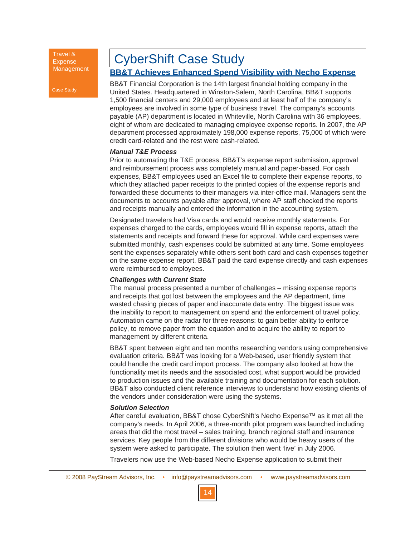Case Study

# CyberShift Case Study

### **BB&T Achieves Enhanced Spend Visibility with Necho Expense**

BB&T Financial Corporation is the 14th largest financial holding company in the United States. Headquartered in Winston-Salem, North Carolina, BB&T supports 1,500 financial centers and 29,000 employees and at least half of the company's employees are involved in some type of business travel. The company's accounts payable (AP) department is located in Whiteville, North Carolina with 36 employees, eight of whom are dedicated to managing employee expense reports. In 2007, the AP department processed approximately 198,000 expense reports, 75,000 of which were credit card-related and the rest were cash-related.

#### *Manual T&E Process*

Prior to automating the T&E process, BB&T's expense report submission, approval and reimbursement process was completely manual and paper-based. For cash expenses, BB&T employees used an Excel file to complete their expense reports, to which they attached paper receipts to the printed copies of the expense reports and forwarded these documents to their managers via inter-office mail. Managers sent the documents to accounts payable after approval, where AP staff checked the reports and receipts manually and entered the information in the accounting system.

Designated travelers had Visa cards and would receive monthly statements. For expenses charged to the cards, employees would fill in expense reports, attach the statements and receipts and forward these for approval. While card expenses were submitted monthly, cash expenses could be submitted at any time. Some employees sent the expenses separately while others sent both card and cash expenses together on the same expense report. BB&T paid the card expense directly and cash expenses were reimbursed to employees.

#### *Challenges with Current State*

The manual process presented a number of challenges – missing expense reports and receipts that got lost between the employees and the AP department, time wasted chasing pieces of paper and inaccurate data entry. The biggest issue was the inability to report to management on spend and the enforcement of travel policy. Automation came on the radar for three reasons: to gain better ability to enforce policy, to remove paper from the equation and to acquire the ability to report to management by different criteria.

BB&T spent between eight and ten months researching vendors using comprehensive evaluation criteria. BB&T was looking for a Web-based, user friendly system that could handle the credit card import process. The company also looked at how the functionality met its needs and the associated cost, what support would be provided to production issues and the available training and documentation for each solution. BB&T also conducted client reference interviews to understand how existing clients of the vendors under consideration were using the systems.

#### *Solution Selection*

After careful evaluation, BB&T chose CyberShift's Necho Expense™ as it met all the company's needs. In April 2006, a three-month pilot program was launched including areas that did the most travel – sales training, branch regional staff and insurance services. Key people from the different divisions who would be heavy users of the system were asked to participate. The solution then went 'live' in July 2006.

Travelers now use the Web-based Necho Expense application to submit their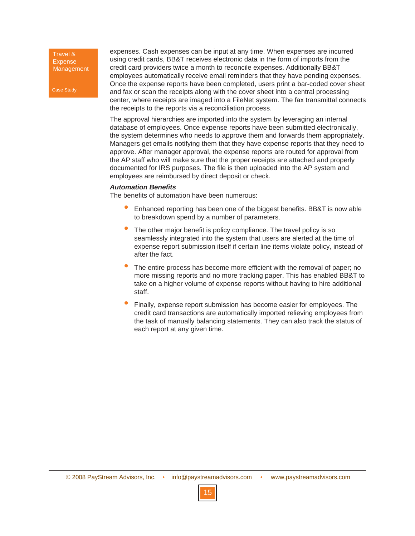Case Study

expenses. Cash expenses can be input at any time. When expenses are incurred using credit cards, BB&T receives electronic data in the form of imports from the credit card providers twice a month to reconcile expenses. Additionally BB&T employees automatically receive email reminders that they have pending expenses. Once the expense reports have been completed, users print a bar-coded cover sheet and fax or scan the receipts along with the cover sheet into a central processing center, where receipts are imaged into a FileNet system. The fax transmittal connects the receipts to the reports via a reconciliation process.

The approval hierarchies are imported into the system by leveraging an internal database of employees. Once expense reports have been submitted electronically, the system determines who needs to approve them and forwards them appropriately. Managers get emails notifying them that they have expense reports that they need to approve. After manager approval, the expense reports are routed for approval from the AP staff who will make sure that the proper receipts are attached and properly documented for IRS purposes. The file is then uploaded into the AP system and employees are reimbursed by direct deposit or check.

#### *Automation Benefits*

The benefits of automation have been numerous:

- Enhanced reporting has been one of the biggest benefits. BB&T is now able to breakdown spend by a number of parameters. •
- The other major benefit is policy compliance. The travel policy is so seamlessly integrated into the system that users are alerted at the time of expense report submission itself if certain line items violate policy, instead of after the fact. •
- The entire process has become more efficient with the removal of paper; no more missing reports and no more tracking paper. This has enabled BB&T to take on a higher volume of expense reports without having to hire additional staff. •
- Finally, expense report submission has become easier for employees. The credit card transactions are automatically imported relieving employees from the task of manually balancing statements. They can also track the status of each report at any given time. •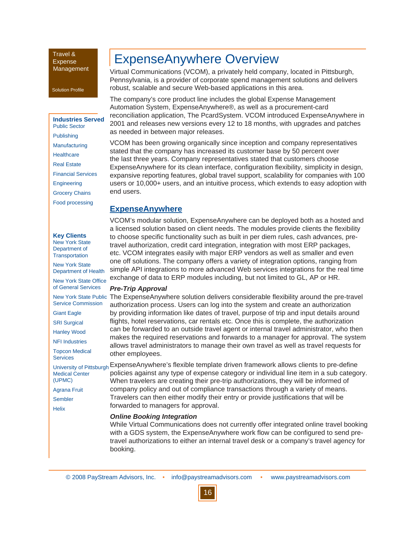#### Solution Profile

### **Industries Served**

Public Sector Publishing Manufacturing **Healthcare** Real Estate Financial Services **Engineering** Grocery Chains Food processing

#### **Key Clients**

New York State Department of **Transportation** 

New York State Department of Health

New York State Office of General Services

Service Commission

Giant Eagle

SRI Surgical

Hanley Wood

NFI Industries

Topcon Medical **Services** 

Medical Center (UPMC)

Agrana Fruit Sembler

Helix

# ExpenseAnywhere Overview

Virtual Communications (VCOM), a privately held company, located in Pittsburgh, Pennsylvania, is a provider of corporate spend management solutions and delivers robust, scalable and secure Web-based applications in this area.

The company's core product line includes the global Expense Management Automation System, ExpenseAnywhere®, as well as a procurement-card reconciliation application, The PcardSystem. VCOM introduced ExpenseAnywhere in 2001 and releases new versions every 12 to 18 months, with upgrades and patches as needed in between major releases.

VCOM has been growing organically since inception and company representatives stated that the company has increased its customer base by 50 percent over the last three years. Company representatives stated that customers choose ExpenseAnywhere for its clean interface, configuration flexibility, simplicity in design, expansive reporting features, global travel support, scalability for companies with 100 users or 10,000+ users, and an intuitive process, which extends to easy adoption with end users.

### **ExpenseAnywhere**

VCOM's modular solution, ExpenseAnywhere can be deployed both as a hosted and a licensed solution based on client needs. The modules provide clients the flexibility to choose specific functionality such as built in per diem rules, cash advances, pretravel authorization, credit card integration, integration with most ERP packages, etc. VCOM integrates easily with major ERP vendors as well as smaller and even one off solutions. The company offers a variety of integration options, ranging from simple API integrations to more advanced Web services integrations for the real time exchange of data to ERP modules including, but not limited to GL, AP or HR.

#### *Pre-Trip Approval*

New York State Public The ExpenseAnywhere solution delivers considerable flexibility around the pre-travel authorization process. Users can log into the system and create an authorization by providing information like dates of travel, purpose of trip and input details around flights, hotel reservations, car rentals etc. Once this is complete, the authorization can be forwarded to an outside travel agent or internal travel administrator, who then makes the required reservations and forwards to a manager for approval. The system allows travel administrators to manage their own travel as well as travel requests for other employees.

University of Pittsburgh ExpenseAnywhere's flexible template driven framework allows clients to pre-define policies against any type of expense category or individual line item in a sub category. When travelers are creating their pre-trip authorizations, they will be informed of company policy and out of compliance transactions through a variety of means. Travelers can then either modify their entry or provide justifications that will be forwarded to managers for approval.

#### *Online Booking Integration*

While Virtual Communications does not currently offer integrated online travel booking with a GDS system, the ExpenseAnywhere work flow can be configured to send pretravel authorizations to either an internal travel desk or a company's travel agency for booking.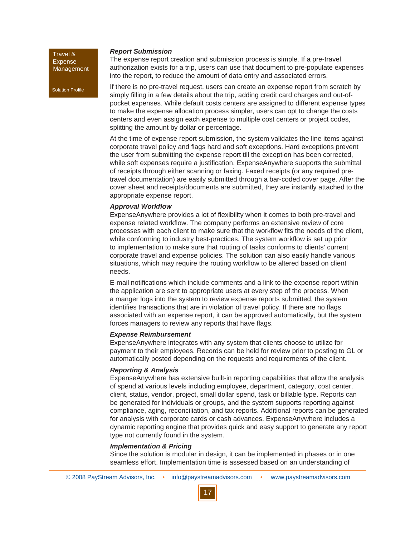Solution Profile

#### *Report Submission*

authorization exists for a trip, users can use that document to pre-populate expenses into the report, to reduce the amount of data entry and associated errors. If there is no pre-travel request, users can create an expense report from scratch by

The expense report creation and submission process is simple. If a pre-travel

simply filling in a few details about the trip, adding credit card charges and out-ofpocket expenses. While default costs centers are assigned to different expense types to make the expense allocation process simpler, users can opt to change the costs centers and even assign each expense to multiple cost centers or project codes, splitting the amount by dollar or percentage.

At the time of expense report submission, the system validates the line items against corporate travel policy and flags hard and soft exceptions. Hard exceptions prevent the user from submitting the expense report till the exception has been corrected, while soft expenses require a justification. ExpenseAnywhere supports the submittal of receipts through either scanning or faxing. Faxed receipts (or any required pretravel documentation) are easily submitted through a bar-coded cover page. After the cover sheet and receipts/documents are submitted, they are instantly attached to the appropriate expense report.

#### *Approval Workflow*

ExpenseAnywhere provides a lot of flexibility when it comes to both pre-travel and expense related workflow. The company performs an extensive review of core processes with each client to make sure that the workflow fits the needs of the client, while conforming to industry best-practices. The system workflow is set up prior to implementation to make sure that routing of tasks conforms to clients' current corporate travel and expense policies. The solution can also easily handle various situations, which may require the routing workflow to be altered based on client needs.

E-mail notifications which include comments and a link to the expense report within the application are sent to appropriate users at every step of the process. When a manger logs into the system to review expense reports submitted, the system identifies transactions that are in violation of travel policy. If there are no flags associated with an expense report, it can be approved automatically, but the system forces managers to review any reports that have flags.

#### *Expense Reimbursement*

ExpenseAnywhere integrates with any system that clients choose to utilize for payment to their employees. Records can be held for review prior to posting to GL or automatically posted depending on the requests and requirements of the client.

#### *Reporting & Analysis*

ExpenseAnywhere has extensive built-in reporting capabilities that allow the analysis of spend at various levels including employee, department, category, cost center, client, status, vendor, project, small dollar spend, task or billable type. Reports can be generated for individuals or groups, and the system supports reporting against compliance, aging, reconciliation, and tax reports. Additional reports can be generated for analysis with corporate cards or cash advances. ExpenseAnywhere includes a dynamic reporting engine that provides quick and easy support to generate any report type not currently found in the system.

#### *Implementation & Pricing*

Since the solution is modular in design, it can be implemented in phases or in one seamless effort. Implementation time is assessed based on an understanding of

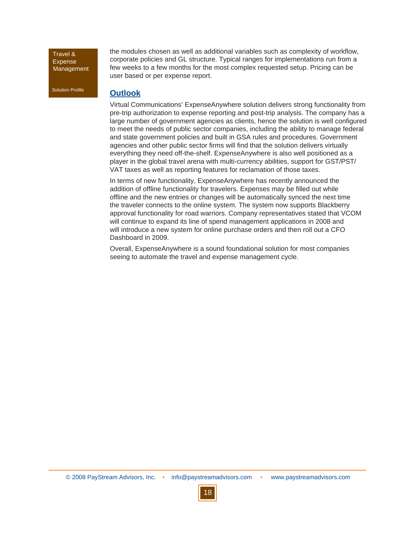Solution Profile

the modules chosen as well as additional variables such as complexity of workflow, corporate policies and GL structure. Typical ranges for implementations run from a few weeks to a few months for the most complex requested setup. Pricing can be user based or per expense report.

### **Outlook**

Virtual Communications' ExpenseAnywhere solution delivers strong functionality from pre-trip authorization to expense reporting and post-trip analysis. The company has a large number of government agencies as clients, hence the solution is well configured to meet the needs of public sector companies, including the ability to manage federal and state government policies and built in GSA rules and procedures. Government agencies and other public sector firms will find that the solution delivers virtually everything they need off-the-shelf. ExpenseAnywhere is also well positioned as a player in the global travel arena with multi-currency abilities, support for GST/PST/ VAT taxes as well as reporting features for reclamation of those taxes.

In terms of new functionality, ExpenseAnywhere has recently announced the addition of offline functionality for travelers. Expenses may be filled out while offline and the new entries or changes will be automatically synced the next time the traveler connects to the online system. The system now supports Blackberry approval functionality for road warriors. Company representatives stated that VCOM will continue to expand its line of spend management applications in 2008 and will introduce a new system for online purchase orders and then roll out a CFO Dashboard in 2009.

Overall, ExpenseAnywhere is a sound foundational solution for most companies seeing to automate the travel and expense management cycle.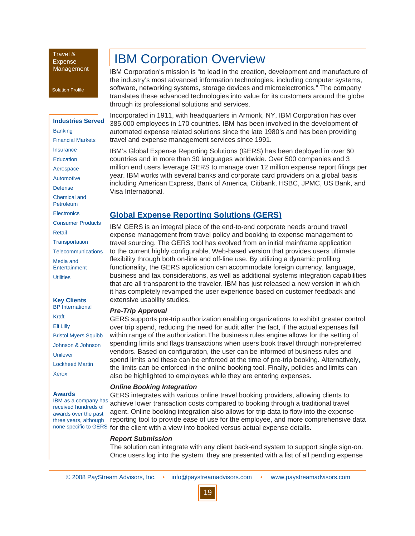Solution Profile

### **Industries Served Banking** Financial Markets Insurance

**Education** 

Aerospace

**Automotive** 

Defense

Chemical and

Petroleum

**Electronics** 

Consumer Products

Retail

**Transportation** 

**Telecommunications** 

Media and **Entertainment** 

**Utilities** 

#### **Key Clients** BP International

Kraft Eli Lilly Bristol Myers Squibb Johnson & Johnson

Unilever Lockheed Martin

Xerox

#### **Awards**

IBM as a company has received hundreds of awards over the past three years, although

# **IBM Corporation Overview**

IBM Corporation's mission is "to lead in the creation, development and manufacture of the industry's most advanced information technologies, including computer systems, software, networking systems, storage devices and microelectronics." The company translates these advanced technologies into value for its customers around the globe through its professional solutions and services.

Incorporated in 1911, with headquarters in Armonk, NY, IBM Corporation has over 385,000 employees in 170 countries. IBM has been involved in the development of automated expense related solutions since the late 1980's and has been providing travel and expense management services since 1991.

IBM's Global Expense Reporting Solutions (GERS) has been deployed in over 60 countries and in more than 30 languages worldwide. Over 500 companies and 3 million end users leverage GERS to manage over 12 million expense report filings per year. IBM works with several banks and corporate card providers on a global basis including American Express, Bank of America, Citibank, HSBC, JPMC, US Bank, and Visa International.

# **Global Expense Reporting Solutions (GERS)**

IBM GERS is an integral piece of the end-to-end corporate needs around travel expense management from travel policy and booking to expense management to travel sourcing. The GERS tool has evolved from an initial mainframe application to the current highly configurable, Web-based version that provides users ultimate flexibility through both on-line and off-line use. By utilizing a dynamic profiling functionality, the GERS application can accommodate foreign currency, language, business and tax considerations, as well as additional systems integration capabilities that are all transparent to the traveler. IBM has just released a new version in which it has completely revamped the user experience based on customer feedback and extensive usability studies.

#### *Pre-Trip Approval*

GERS supports pre-trip authorization enabling organizations to exhibit greater control over trip spend, reducing the need for audit after the fact, if the actual expenses fall within range of the authorization.The business rules engine allows for the setting of spending limits and flags transactions when users book travel through non-preferred vendors. Based on configuration, the user can be informed of business rules and spend limits and these can be enforced at the time of pre-trip booking. Alternatively, the limits can be enforced in the online booking tool. Finally, policies and limits can also be highlighted to employees while they are entering expenses.

#### *Online Booking Integration*

GERS integrates with various online travel booking providers, allowing clients to achieve lower transaction costs compared to booking through a traditional travel agent. Online booking integration also allows for trip data to flow into the expense reporting tool to provide ease of use for the employee, and more comprehensive data none specific to GERS for the client with a view into booked versus actual expense details.

#### *Report Submission*

The solution can integrate with any client back-end system to support single sign-on. Once users log into the system, they are presented with a list of all pending expense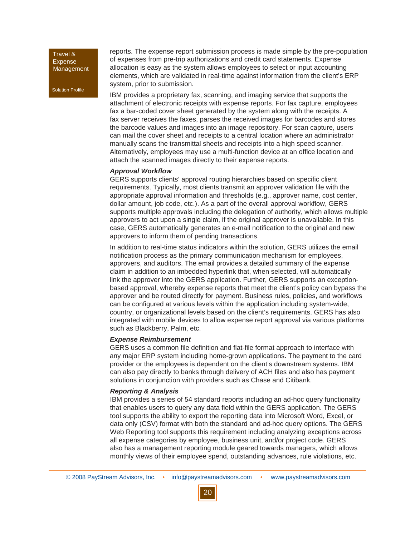Solution Profile

reports. The expense report submission process is made simple by the pre-population of expenses from pre-trip authorizations and credit card statements. Expense allocation is easy as the system allows employees to select or input accounting elements, which are validated in real-time against information from the client's ERP system, prior to submission.

IBM provides a proprietary fax, scanning, and imaging service that supports the attachment of electronic receipts with expense reports. For fax capture, employees fax a bar-coded cover sheet generated by the system along with the receipts. A fax server receives the faxes, parses the received images for barcodes and stores the barcode values and images into an image repository. For scan capture, users can mail the cover sheet and receipts to a central location where an administrator manually scans the transmittal sheets and receipts into a high speed scanner. Alternatively, employees may use a multi-function device at an office location and attach the scanned images directly to their expense reports.

#### *Approval Workflow*

GERS supports clients' approval routing hierarchies based on specific client requirements. Typically, most clients transmit an approver validation file with the appropriate approval information and thresholds (e.g., approver name, cost center, dollar amount, job code, etc.). As a part of the overall approval workflow, GERS supports multiple approvals including the delegation of authority, which allows multiple approvers to act upon a single claim, if the original approver is unavailable. In this case, GERS automatically generates an e-mail notification to the original and new approvers to inform them of pending transactions.

In addition to real-time status indicators within the solution, GERS utilizes the email notification process as the primary communication mechanism for employees, approvers, and auditors. The email provides a detailed summary of the expense claim in addition to an imbedded hyperlink that, when selected, will automatically link the approver into the GERS application. Further, GERS supports an exceptionbased approval, whereby expense reports that meet the client's policy can bypass the approver and be routed directly for payment. Business rules, policies, and workflows can be configured at various levels within the application including system-wide, country, or organizational levels based on the client's requirements. GERS has also integrated with mobile devices to allow expense report approval via various platforms such as Blackberry, Palm, etc.

#### *Expense Reimbursement*

GERS uses a common file definition and flat-file format approach to interface with any major ERP system including home-grown applications. The payment to the card provider or the employees is dependent on the client's downstream systems. IBM can also pay directly to banks through delivery of ACH files and also has payment solutions in conjunction with providers such as Chase and Citibank.

#### *Reporting & Analysis*

IBM provides a series of 54 standard reports including an ad-hoc query functionality that enables users to query any data field within the GERS application. The GERS tool supports the ability to export the reporting data into Microsoft Word, Excel, or data only (CSV) format with both the standard and ad-hoc query options. The GERS Web Reporting tool supports this requirement including analyzing exceptions across all expense categories by employee, business unit, and/or project code. GERS also has a management reporting module geared towards managers, which allows monthly views of their employee spend, outstanding advances, rule violations, etc.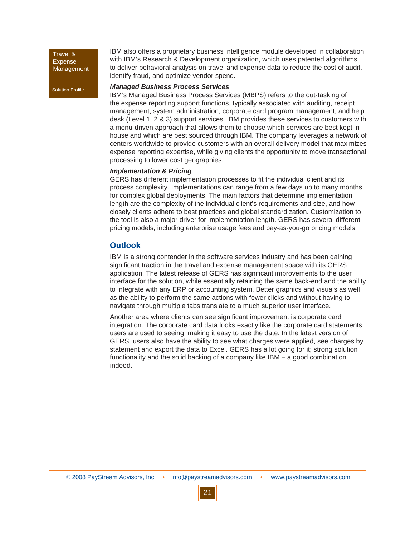Solution Profile

IBM also offers a proprietary business intelligence module developed in collaboration with IBM's Research & Development organization, which uses patented algorithms to deliver behavioral analysis on travel and expense data to reduce the cost of audit, identify fraud, and optimize vendor spend.

#### *Managed Business Process Services*

IBM's Managed Business Process Services (MBPS) refers to the out-tasking of the expense reporting support functions, typically associated with auditing, receipt management, system administration, corporate card program management, and help desk (Level 1, 2 & 3) support services. IBM provides these services to customers with a menu-driven approach that allows them to choose which services are best kept inhouse and which are best sourced through IBM. The company leverages a network of centers worldwide to provide customers with an overall delivery model that maximizes expense reporting expertise, while giving clients the opportunity to move transactional processing to lower cost geographies.

#### *Implementation & Pricing*

GERS has different implementation processes to fit the individual client and its process complexity. Implementations can range from a few days up to many months for complex global deployments. The main factors that determine implementation length are the complexity of the individual client's requirements and size, and how closely clients adhere to best practices and global standardization. Customization to the tool is also a major driver for implementation length. GERS has several different pricing models, including enterprise usage fees and pay-as-you-go pricing models.

# **Outlook**

IBM is a strong contender in the software services industry and has been gaining significant traction in the travel and expense management space with its GERS application. The latest release of GERS has significant improvements to the user interface for the solution, while essentially retaining the same back-end and the ability to integrate with any ERP or accounting system. Better graphics and visuals as well as the ability to perform the same actions with fewer clicks and without having to navigate through multiple tabs translate to a much superior user interface.

Another area where clients can see significant improvement is corporate card integration. The corporate card data looks exactly like the corporate card statements users are used to seeing, making it easy to use the date. In the latest version of GERS, users also have the ability to see what charges were applied, see charges by statement and export the data to Excel. GERS has a lot going for it; strong solution functionality and the solid backing of a company like IBM – a good combination indeed.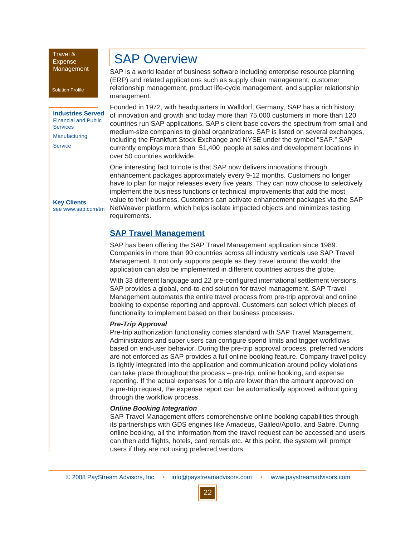#### Solution Profile

#### **Industries Served** Financial and Public **Services** Manufacturing **Service**

**Key Clients** see www.sap.com/tm

# SAP Overview

SAP is a world leader of business software including enterprise resource planning (ERP) and related applications such as supply chain management, customer relationship management, product life-cycle management, and supplier relationship management.

Founded in 1972, with headquarters in Walldorf, Germany, SAP has a rich history of innovation and growth and today more than 75,000 customers in more than 120 countries run SAP applications. SAP's client base covers the spectrum from small and medium-size companies to global organizations. SAP is listed on several exchanges, including the Frankfurt Stock Exchange and NYSE under the symbol "SAP." SAP currently employs more than 51,400 people at sales and development locations in over 50 countries worldwide.

One interesting fact to note is that SAP now delivers innovations through enhancement packages approximately every 9-12 months. Customers no longer have to plan for major releases every five years. They can now choose to selectively implement the business functions or technical improvements that add the most value to their business. Customers can activate enhancement packages via the SAP NetWeaver platform, which helps isolate impacted objects and minimizes testing requirements.

### **SAP Travel Management**

SAP has been offering the SAP Travel Management application since 1989. Companies in more than 90 countries across all industry verticals use SAP Travel Management. It not only supports people as they travel around the world; the application can also be implemented in different countries across the globe.

With 33 different language and 22 pre-configured international settlement versions, SAP provides a global, end-to-end solution for travel management. SAP Travel Management automates the entire travel process from pre-trip approval and online booking to expense reporting and approval. Customers can select which pieces of functionality to implement based on their business processes.

#### *Pre-Trip Approval*

Pre-trip authorization functionality comes standard with SAP Travel Management. Administrators and super users can configure spend limits and trigger workflows based on end-user behavior. During the pre-trip approval process, preferred vendors are not enforced as SAP provides a full online booking feature. Company travel policy is tightly integrated into the application and communication around policy violations can take place throughout the process – pre-trip, online booking, and expense reporting. If the actual expenses for a trip are lower than the amount approved on a pre-trip request, the expense report can be automatically approved without going through the workflow process.

#### *Online Booking Integration*

SAP Travel Management offers comprehensive online booking capabilities through its partnerships with GDS engines like Amadeus, Galileo/Apollo, and Sabre. During online booking, all the information from the travel request can be accessed and users can then add flights, hotels, card rentals etc. At this point, the system will prompt users if they are not using preferred vendors.

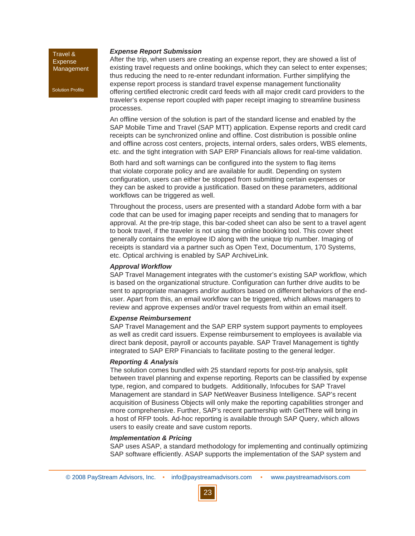Solution Profile

#### *Expense Report Submission*

After the trip, when users are creating an expense report, they are showed a list of existing travel requests and online bookings, which they can select to enter expenses; thus reducing the need to re-enter redundant information. Further simplifying the expense report process is standard travel expense management functionality offering certified electronic credit card feeds with all major credit card providers to the traveler's expense report coupled with paper receipt imaging to streamline business processes.

An offline version of the solution is part of the standard license and enabled by the SAP Mobile Time and Travel (SAP MTT) application. Expense reports and credit card receipts can be synchronized online and offline. Cost distribution is possible online and offline across cost centers, projects, internal orders, sales orders, WBS elements, etc. and the tight integration with SAP ERP Financials allows for real-time validation.

Both hard and soft warnings can be configured into the system to flag items that violate corporate policy and are available for audit. Depending on system configuration, users can either be stopped from submitting certain expenses or they can be asked to provide a justification. Based on these parameters, additional workflows can be triggered as well.

Throughout the process, users are presented with a standard Adobe form with a bar code that can be used for imaging paper receipts and sending that to managers for approval. At the pre-trip stage, this bar-coded sheet can also be sent to a travel agent to book travel, if the traveler is not using the online booking tool. This cover sheet generally contains the employee ID along with the unique trip number. Imaging of receipts is standard via a partner such as Open Text, Documentum, 170 Systems, etc. Optical archiving is enabled by SAP ArchiveLink.

#### *Approval Workflow*

SAP Travel Management integrates with the customer's existing SAP workflow, which is based on the organizational structure. Configuration can further drive audits to be sent to appropriate managers and/or auditors based on different behaviors of the enduser. Apart from this, an email workflow can be triggered, which allows managers to review and approve expenses and/or travel requests from within an email itself.

#### *Expense Reimbursement*

SAP Travel Management and the SAP ERP system support payments to employees as well as credit card issuers. Expense reimbursement to employees is available via direct bank deposit, payroll or accounts payable. SAP Travel Management is tightly integrated to SAP ERP Financials to facilitate posting to the general ledger.

#### *Reporting & Analysis*

The solution comes bundled with 25 standard reports for post-trip analysis, split between travel planning and expense reporting. Reports can be classified by expense type, region, and compared to budgets. Additionally, Infocubes for SAP Travel Management are standard in SAP NetWeaver Business Intelligence. SAP's recent acquisition of Business Objects will only make the reporting capabilities stronger and more comprehensive. Further, SAP's recent partnership with GetThere will bring in a host of RFP tools. Ad-hoc reporting is available through SAP Query, which allows users to easily create and save custom reports.

#### *Implementation & Pricing*

SAP uses ASAP, a standard methodology for implementing and continually optimizing SAP software efficiently. ASAP supports the implementation of the SAP system and

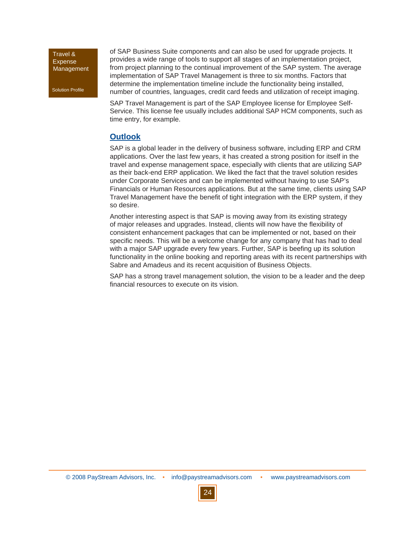Solution Profile

of SAP Business Suite components and can also be used for upgrade projects. It provides a wide range of tools to support all stages of an implementation project, from project planning to the continual improvement of the SAP system. The average implementation of SAP Travel Management is three to six months. Factors that determine the implementation timeline include the functionality being installed, number of countries, languages, credit card feeds and utilization of receipt imaging.

SAP Travel Management is part of the SAP Employee license for Employee Self-Service. This license fee usually includes additional SAP HCM components, such as time entry, for example.

# **Outlook**

SAP is a global leader in the delivery of business software, including ERP and CRM applications. Over the last few years, it has created a strong position for itself in the travel and expense management space, especially with clients that are utilizing SAP as their back-end ERP application. We liked the fact that the travel solution resides under Corporate Services and can be implemented without having to use SAP's Financials or Human Resources applications. But at the same time, clients using SAP Travel Management have the benefit of tight integration with the ERP system, if they so desire.

Another interesting aspect is that SAP is moving away from its existing strategy of major releases and upgrades. Instead, clients will now have the flexibility of consistent enhancement packages that can be implemented or not, based on their specific needs. This will be a welcome change for any company that has had to deal with a major SAP upgrade every few years. Further, SAP is beefing up its solution functionality in the online booking and reporting areas with its recent partnerships with Sabre and Amadeus and its recent acquisition of Business Objects.

SAP has a strong travel management solution, the vision to be a leader and the deep financial resources to execute on its vision.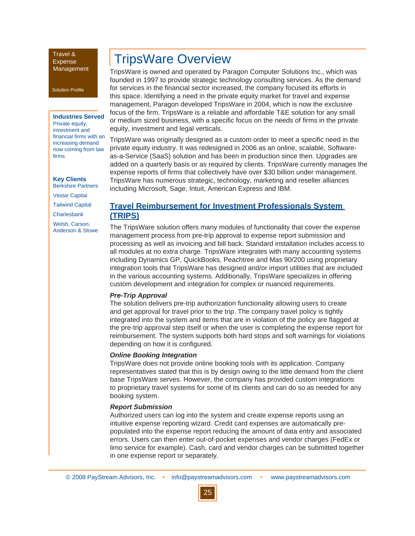Solution Profile

#### **Industries Served**

Private equity, investment and financial firms with an increasing demand now coming from law firms

**Key Clients** Berkshire Partners

Vestar Capital

Tailwind Capital

**Charlesbank** 

Welsh, Carson, Anderson & Stowe

# TripsWare Overview

TripsWare is owned and operated by Paragon Computer Solutions Inc., which was founded in 1997 to provide strategic technology consulting services. As the demand for services in the financial sector increased, the company focused its efforts in this space. Identifying a need in the private equity market for travel and expense management, Paragon developed TripsWare in 2004, which is now the exclusive focus of the firm. TripsWare is a reliable and affordable T&E solution for any small or medium sized business, with a specific focus on the needs of firms in the private equity, investment and legal verticals.

TripsWare was originally designed as a custom order to meet a specific need in the private equity industry. It was redesigned in 2006 as an online, scalable, Softwareas-a-Service (SaaS) solution and has been in production since then. Upgrades are added on a quarterly basis or as required by clients. TripsWare currently manages the expense reports of firms that collectively have over \$30 billion under management. TripsWare has numerous strategic, technology, marketing and reseller alliances including Microsoft, Sage, Intuit, American Express and IBM.

### **Travel Reimbursement for Investment Professionals System (TRIPS)**

The TripsWare solution offers many modules of functionality that cover the expense management process from pre-trip approval to expense report submission and processing as well as invoicing and bill back. Standard installation includes access to all modules at no extra charge. TripsWare integrates with many accounting systems including Dynamics GP, QuickBooks, Peachtree and Mas 90/200 using proprietary integration tools that TripsWare has designed and/or import utilities that are included in the various accounting systems. Additionally, TripsWare specializes in offering custom development and integration for complex or nuanced requirements.

#### *Pre-Trip Approval*

The solution delivers pre-trip authorization functionality allowing users to create and get approval for travel prior to the trip. The company travel policy is tightly integrated into the system and items that are in violation of the policy are flagged at the pre-trip approval step itself or when the user is completing the expense report for reimbursement. The system supports both hard stops and soft warnings for violations depending on how it is configured.

#### *Online Booking Integration*

TripsWare does not provide online booking tools with its application. Company representatives stated that this is by design owing to the little demand from the client base TripsWare serves. However, the company has provided custom integrations to proprietary travel systems for some of its clients and can do so as needed for any booking system.

#### *Report Submission*

Authorized users can log into the system and create expense reports using an intuitive expense reporting wizard. Credit card expenses are automatically prepopulated into the expense report reducing the amount of data entry and associated errors. Users can then enter out-of-pocket expenses and vendor charges (FedEx or limo service for example). Cash, card and vendor charges can be submitted together in one expense report or separately.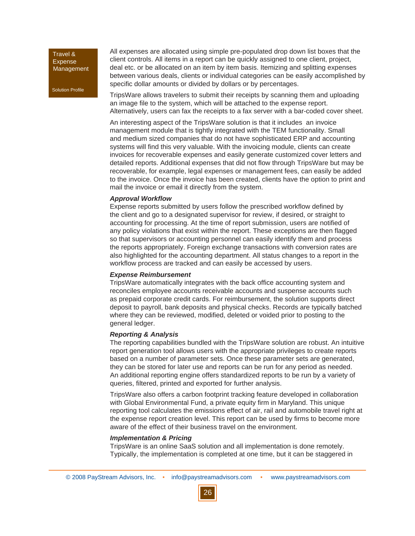Solution Profile

All expenses are allocated using simple pre-populated drop down list boxes that the client controls. All items in a report can be quickly assigned to one client, project, deal etc. or be allocated on an item by item basis. Itemizing and splitting expenses between various deals, clients or individual categories can be easily accomplished by specific dollar amounts or divided by dollars or by percentages.

TripsWare allows travelers to submit their receipts by scanning them and uploading an image file to the system, which will be attached to the expense report. Alternatively, users can fax the receipts to a fax server with a bar-coded cover sheet.

An interesting aspect of the TripsWare solution is that it includes an invoice management module that is tightly integrated with the TEM functionality. Small and medium sized companies that do not have sophisticated ERP and accounting systems will find this very valuable. With the invoicing module, clients can create invoices for recoverable expenses and easily generate customized cover letters and detailed reports. Additional expenses that did not flow through TripsWare but may be recoverable, for example, legal expenses or management fees, can easily be added to the invoice. Once the invoice has been created, clients have the option to print and mail the invoice or email it directly from the system.

#### *Approval Workflow*

Expense reports submitted by users follow the prescribed workflow defined by the client and go to a designated supervisor for review, if desired, or straight to accounting for processing. At the time of report submission, users are notified of any policy violations that exist within the report. These exceptions are then flagged so that supervisors or accounting personnel can easily identify them and process the reports appropriately. Foreign exchange transactions with conversion rates are also highlighted for the accounting department. All status changes to a report in the workflow process are tracked and can easily be accessed by users.

#### *Expense Reimbursement*

TripsWare automatically integrates with the back office accounting system and reconciles employee accounts receivable accounts and suspense accounts such as prepaid corporate credit cards. For reimbursement, the solution supports direct deposit to payroll, bank deposits and physical checks. Records are typically batched where they can be reviewed, modified, deleted or voided prior to posting to the general ledger.

#### *Reporting & Analysis*

The reporting capabilities bundled with the TripsWare solution are robust. An intuitive report generation tool allows users with the appropriate privileges to create reports based on a number of parameter sets. Once these parameter sets are generated, they can be stored for later use and reports can be run for any period as needed. An additional reporting engine offers standardized reports to be run by a variety of queries, filtered, printed and exported for further analysis.

TripsWare also offers a carbon footprint tracking feature developed in collaboration with Global Environmental Fund, a private equity firm in Maryland. This unique reporting tool calculates the emissions effect of air, rail and automobile travel right at the expense report creation level. This report can be used by firms to become more aware of the effect of their business travel on the environment.

#### *Implementation & Pricing*

TripsWare is an online SaaS solution and all implementation is done remotely. Typically, the implementation is completed at one time, but it can be staggered in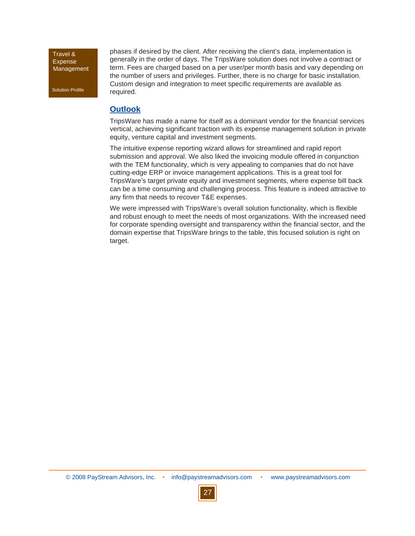Solution Profile

phases if desired by the client. After receiving the client's data, implementation is generally in the order of days. The TripsWare solution does not involve a contract or term. Fees are charged based on a per user/per month basis and vary depending on the number of users and privileges. Further, there is no charge for basic installation. Custom design and integration to meet specific requirements are available as required.

# **Outlook**

TripsWare has made a name for itself as a dominant vendor for the financial services vertical, achieving significant traction with its expense management solution in private equity, venture capital and investment segments.

The intuitive expense reporting wizard allows for streamlined and rapid report submission and approval. We also liked the invoicing module offered in conjunction with the TEM functionality, which is very appealing to companies that do not have cutting-edge ERP or invoice management applications. This is a great tool for TripsWare's target private equity and investment segments, where expense bill back can be a time consuming and challenging process. This feature is indeed attractive to any firm that needs to recover T&E expenses.

We were impressed with TripsWare's overall solution functionality, which is flexible and robust enough to meet the needs of most organizations. With the increased need for corporate spending oversight and transparency within the financial sector, and the domain expertise that TripsWare brings to the table, this focused solution is right on target.

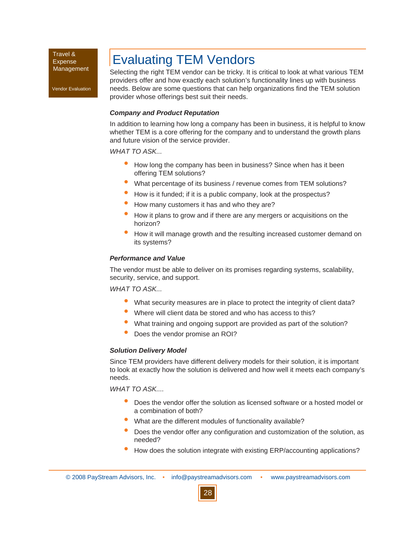Vendor Evaluation

# Evaluating TEM Vendors

Selecting the right TEM vendor can be tricky. It is critical to look at what various TEM providers offer and how exactly each solution's functionality lines up with business needs. Below are some questions that can help organizations find the TEM solution provider whose offerings best suit their needs.

#### *Company and Product Reputation*

In addition to learning how long a company has been in business, it is helpful to know whether TEM is a core offering for the company and to understand the growth plans and future vision of the service provider.

*WHAT TO ASK...*

- How long the company has been in business? Since when has it been offering TEM solutions? •
- What percentage of its business / revenue comes from TEM solutions? •
- How is it funded; if it is a public company, look at the prospectus? •
- How many customers it has and who they are? •
- How it plans to grow and if there are any mergers or acquisitions on the horizon? •
- How it will manage growth and the resulting increased customer demand on its systems? •

#### *Performance and Value*

The vendor must be able to deliver on its promises regarding systems, scalability, security, service, and support.

*WHAT TO ASK...*

- What security measures are in place to protect the integrity of client data? •
- Where will client data be stored and who has access to this? •
- What training and ongoing support are provided as part of the solution? •
- Does the vendor promise an ROI? •

#### *Solution Delivery Model*

Since TEM providers have different delivery models for their solution, it is important to look at exactly how the solution is delivered and how well it meets each company's needs.

*WHAT TO ASK....*

- Does the vendor offer the solution as licensed software or a hosted model or a combination of both? •
- What are the different modules of functionality available? •
- Does the vendor offer any configuration and customization of the solution, as needed? •
- How does the solution integrate with existing ERP/accounting applications? •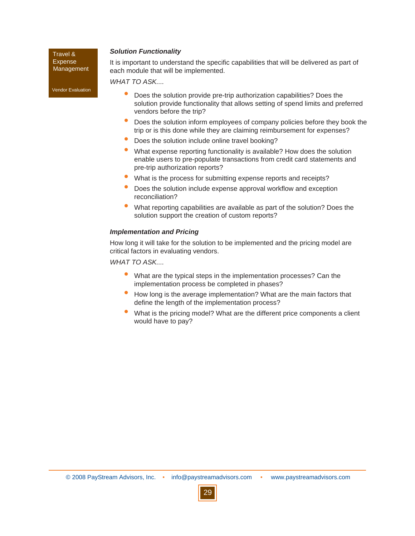#### *Solution Functionality*

Travel & **Expense** Management

Vendor Evaluation

It is important to understand the specific capabilities that will be delivered as part of each module that will be implemented.

*WHAT TO ASK....* 

- Does the solution provide pre-trip authorization capabilities? Does the solution provide functionality that allows setting of spend limits and preferred vendors before the trip? •
- Does the solution inform employees of company policies before they book the trip or is this done while they are claiming reimbursement for expenses? •
- Does the solution include online travel booking? •
- What expense reporting functionality is available? How does the solution enable users to pre-populate transactions from credit card statements and pre-trip authorization reports? •
- What is the process for submitting expense reports and receipts? •
- Does the solution include expense approval workflow and exception reconciliation? •
- What reporting capabilities are available as part of the solution? Does the solution support the creation of custom reports? •

#### *Implementation and Pricing*

How long it will take for the solution to be implemented and the pricing model are critical factors in evaluating vendors.

*WHAT TO ASK....*

- What are the typical steps in the implementation processes? Can the implementation process be completed in phases? •
- How long is the average implementation? What are the main factors that define the length of the implementation process? •
- What is the pricing model? What are the different price components a client would have to pay? •